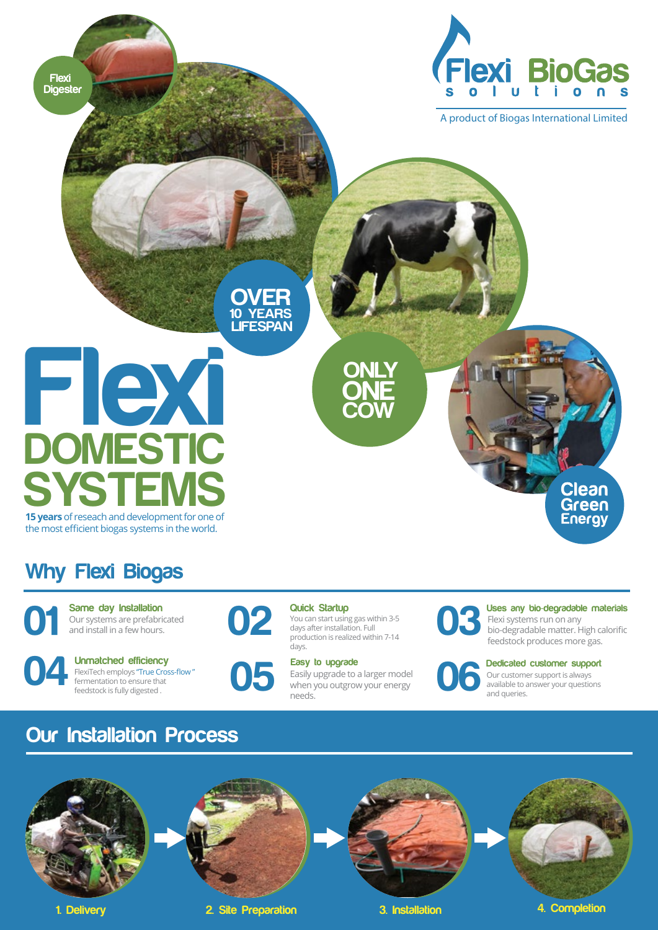

A product of Biogas International Limited

**OVER 10 YEARS LIFESPAN**

# **Flexi DOMESTIC SYSTE 15 years** of reseach and development for one of

the most efficient biogas systems in the world.

### **Why Flexi Biogas**

**Flexi Digester**

> Our systems are prefabricated and install in a few hours. **Same day Installation**





You can start using gas within 3-5 days after installation. Full production is realized within 7-14 days. **02 Quick Startup**<br>
You can start using<br>
days after installat

**ONLY**

**COW ONE**

#### **Easy to upgrade**

Easily upgrade to a larger model **Easy to upgrade**<br> **Conserved Easily upgrade to a larger model**<br>
when you outgrow your energy<br>
needs. needs.

Flexi systems run on any **Uses any bio**-**degradable materials**

bio-degradable matter. High calorific **03** feedstock produces more gas.

**Clean** Green **Energy** 

**Dedicated customer support**

Our customer support is always available to answer your questions **06**and queries.

### **Our Installation Process**